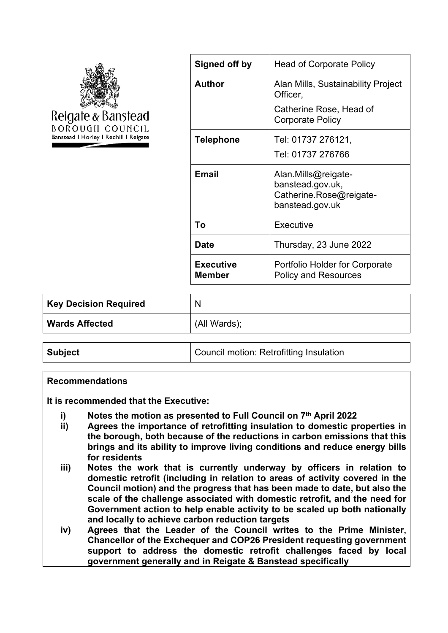

| Signed off by              | <b>Head of Corporate Policy</b>                                                       |
|----------------------------|---------------------------------------------------------------------------------------|
| <b>Author</b>              | Alan Mills, Sustainability Project<br>Officer,                                        |
|                            | Catherine Rose, Head of<br><b>Corporate Policy</b>                                    |
| <b>Telephone</b>           | Tel: 01737 276121,                                                                    |
|                            | Tel: 01737 276766                                                                     |
| <b>Email</b>               | Alan.Mills@reigate-<br>banstead.gov.uk,<br>Catherine Rose@reigate-<br>banstead.gov.uk |
| To                         | Executive                                                                             |
| Date                       | Thursday, 23 June 2022                                                                |
| <b>Executive</b><br>Member | <b>Portfolio Holder for Corporate</b><br><b>Policy and Resources</b>                  |
|                            |                                                                                       |

| <b>Key Decision Required</b> | N            |
|------------------------------|--------------|
| <b>Wards Affected</b>        | (All Wards); |

#### **Recommendations**

**It is recommended that the Executive:**

- **i) Notes the motion as presented to Full Council on 7 th April 2022**
- **ii) Agrees the importance of retrofitting insulation to domestic properties in the borough, both because of the reductions in carbon emissions that this brings and its ability to improve living conditions and reduce energy bills for residents**
- **iii) Notes the work that is currently underway by officers in relation to domestic retrofit (including in relation to areas of activity covered in the Council motion) and the progress that has been made to date, but also the scale of the challenge associated with domestic retrofit, and the need for Government action to help enable activity to be scaled up both nationally and locally to achieve carbon reduction targets**
- **iv) Agrees that the Leader of the Council writes to the Prime Minister, Chancellor of the Exchequer and COP26 President requesting government support to address the domestic retrofit challenges faced by local government generally and in Reigate & Banstead specifically**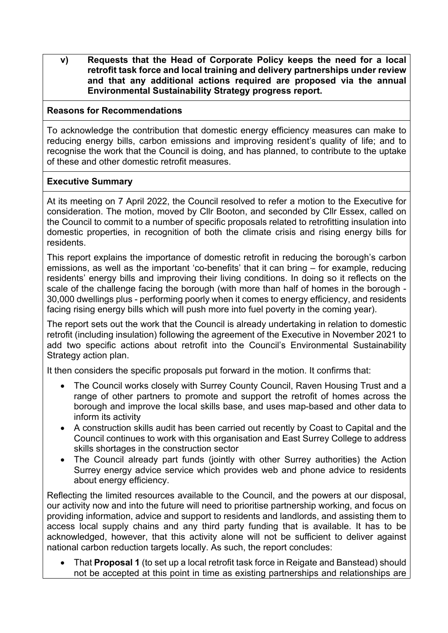**v) Requests that the Head of Corporate Policy keeps the need for a local retrofit task force and local training and delivery partnerships under review and that any additional actions required are proposed via the annual Environmental Sustainability Strategy progress report.**

## **Reasons for Recommendations**

To acknowledge the contribution that domestic energy efficiency measures can make to reducing energy bills, carbon emissions and improving resident's quality of life; and to recognise the work that the Council is doing, and has planned, to contribute to the uptake of these and other domestic retrofit measures.

## **Executive Summary**

At its meeting on 7 April 2022, the Council resolved to refer a motion to the Executive for consideration. The motion, moved by Cllr Booton, and seconded by Cllr Essex, called on the Council to commit to a number of specific proposals related to retrofitting insulation into domestic properties, in recognition of both the climate crisis and rising energy bills for residents.

This report explains the importance of domestic retrofit in reducing the borough's carbon emissions, as well as the important 'co-benefits' that it can bring – for example, reducing residents' energy bills and improving their living conditions. In doing so it reflects on the scale of the challenge facing the borough (with more than half of homes in the borough - 30,000 dwellings plus - performing poorly when it comes to energy efficiency, and residents facing rising energy bills which will push more into fuel poverty in the coming year).

The report sets out the work that the Council is already undertaking in relation to domestic retrofit (including insulation) following the agreement of the Executive in November 2021 to add two specific actions about retrofit into the Council's Environmental Sustainability Strategy action plan.

It then considers the specific proposals put forward in the motion. It confirms that:

- The Council works closely with Surrey County Council, Raven Housing Trust and a range of other partners to promote and support the retrofit of homes across the borough and improve the local skills base, and uses map-based and other data to inform its activity
- A construction skills audit has been carried out recently by Coast to Capital and the Council continues to work with this organisation and East Surrey College to address skills shortages in the construction sector
- The Council already part funds (jointly with other Surrey authorities) the Action Surrey energy advice service which provides web and phone advice to residents about energy efficiency.

Reflecting the limited resources available to the Council, and the powers at our disposal, our activity now and into the future will need to prioritise partnership working, and focus on providing information, advice and support to residents and landlords, and assisting them to access local supply chains and any third party funding that is available. It has to be acknowledged, however, that this activity alone will not be sufficient to deliver against national carbon reduction targets locally. As such, the report concludes:

 That **Proposal 1** (to set up a local retrofit task force in Reigate and Banstead) should not be accepted at this point in time as existing partnerships and relationships are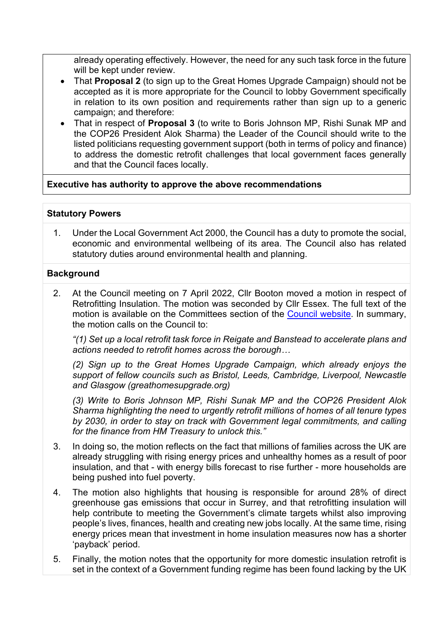already operating effectively. However, the need for any such task force in the future will be kept under review.

- That **Proposal 2** (to sign up to the Great Homes Upgrade Campaign) should not be accepted as it is more appropriate for the Council to lobby Government specifically in relation to its own position and requirements rather than sign up to a generic campaign; and therefore:
- That in respect of **Proposal 3** (to write to Boris Johnson MP, Rishi Sunak MP and the COP26 President Alok Sharma) the Leader of the Council should write to the listed politicians requesting government support (both in terms of policy and finance) to address the domestic retrofit challenges that local government faces generally and that the Council faces locally.

# **Executive has authority to approve the above recommendations**

# **Statutory Powers**

1. Under the Local Government Act 2000, the Council has a duty to promote the social, economic and environmental wellbeing of its area. The Council also has related statutory duties around environmental health and planning.

# **Background**

2. At the Council meeting on 7 April 2022, Cllr Booton moved a motion in respect of Retrofitting Insulation. The motion was seconded by Cllr Essex. The full text of the motion is available on the Committees section of the Council [website](https://reigate-banstead.moderngov.co.uk/documents/s19607/Motion%20-%20Retrofitting%20insulation.pdf). In summary, the motion calls on the Council to:

*"(1) Set up a local retrofit task force in Reigate and Banstead to accelerate plans and actions needed to retrofit homes across the borough…*

*(2) Sign up to the Great Homes Upgrade Campaign, which already enjoys the support of fellow councils such as Bristol, Leeds, Cambridge, Liverpool, Newcastle and Glasgow (greathomesupgrade.org)*

*(3) Write to Boris Johnson MP, Rishi Sunak MP and the COP26 President Alok Sharma highlighting the need to urgently retrofit millions of homes of all tenure types by 2030, in order to stay on track with Government legal commitments, and calling for the finance from HM Treasury to unlock this."*

- 3. In doing so, the motion reflects on the fact that millions of families across the UK are already struggling with rising energy prices and unhealthy homes as a result of poor insulation, and that - with energy bills forecast to rise further - more households are being pushed into fuel poverty.
- 4. The motion also highlights that housing is responsible for around 28% of direct greenhouse gas emissions that occur in Surrey, and that retrofitting insulation will help contribute to meeting the Government's climate targets whilst also improving people's lives, finances, health and creating new jobs locally. At the same time, rising energy prices mean that investment in home insulation measures now has a shorter 'payback' period.
- 5. Finally, the motion notes that the opportunity for more domestic insulation retrofit is set in the context of a Government funding regime has been found lacking by the UK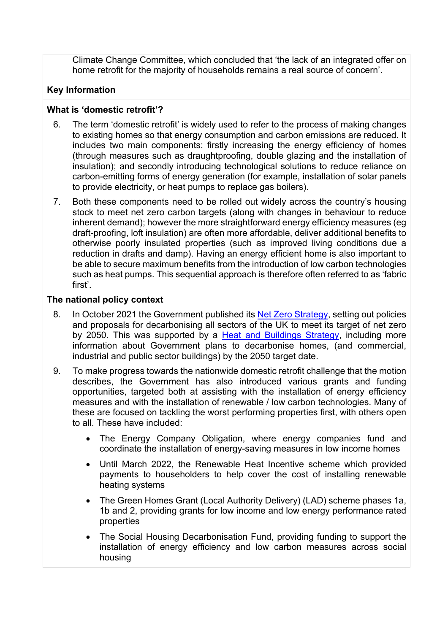Climate Change Committee, which concluded that 'the lack of an integrated offer on home retrofit for the majority of households remains a real source of concern'.

## **Key Information**

#### **What is 'domestic retrofit'?**

- 6. The term 'domestic retrofit' is widely used to refer to the process of making changes to existing homes so that energy consumption and carbon emissions are reduced. It includes two main components: firstly increasing the energy efficiency of homes (through measures such as draughtproofing, double glazing and the installation of insulation); and secondly introducing technological solutions to reduce reliance on carbon-emitting forms of energy generation (for example, installation of solar panels to provide electricity, or heat pumps to replace gas boilers).
- 7. Both these components need to be rolled out widely across the country's housing stock to meet net zero carbon targets (along with changes in behaviour to reduce inherent demand); however the more straightforward energy efficiency measures (eg draft-proofing, loft insulation) are often more affordable, deliver additional benefits to otherwise poorly insulated properties (such as improved living conditions due a reduction in drafts and damp). Having an energy efficient home is also important to be able to secure maximum benefits from the introduction of low carbon technologies such as heat pumps. This sequential approach is therefore often referred to as 'fabric first'.

### **The national policy context**

- 8. In October 2021 the Government published its Net Zero [Strategy,](https://www.gov.uk/government/publications/net-zero-strategy) setting out policies and proposals for decarbonising all sectors of the UK to meet its target of net zero by 2050. This was supported by a Heat and [Buildings](https://www.gov.uk/government/publications/heat-and-buildings-strategy) Strategy, including more information about Government plans to decarbonise homes, (and commercial, industrial and public sector buildings) by the 2050 target date.
- 9. To make progress towards the nationwide domestic retrofit challenge that the motion describes, the Government has also introduced various grants and funding opportunities, targeted both at assisting with the installation of energy efficiency measures and with the installation of renewable / low carbon technologies. Many of these are focused on tackling the worst performing properties first, with others open to all. These have included:
	- The Energy Company Obligation, where energy companies fund and coordinate the installation of energy-saving measures in low income homes
	- Until March 2022, the Renewable Heat Incentive scheme which provided payments to householders to help cover the cost of installing renewable heating systems
	- The Green Homes Grant (Local Authority Delivery) (LAD) scheme phases 1a, 1b and 2, providing grants for low income and low energy performance rated properties
	- The Social Housing Decarbonisation Fund, providing funding to support the installation of energy efficiency and low carbon measures across social housing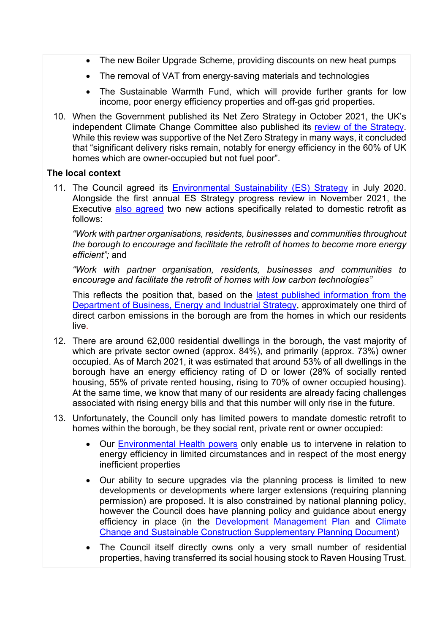- The new Boiler Upgrade Scheme, providing discounts on new heat pumps
- The removal of VAT from energy-saving materials and technologies
- The Sustainable Warmth Fund, which will provide further grants for low income, poor energy efficiency properties and off-gas grid properties.
- 10. When the Government published its Net Zero Strategy in October 2021, the UK's independent Climate Change Committee also published its review of the [Strategy.](https://www.theccc.org.uk/publication/independent-assessment-the-uks-net-zero-strategy/) While this review was supportive of the Net Zero Strategy in many ways, it concluded that "significant delivery risks remain, notably for energy efficiency in the 60% of UK homes which are owner-occupied but not fuel poor".

## **The local context**

11. The Council agreed its [Environmental](https://www.reigate-banstead.gov.uk/info/20065/environmental_sustainability_and_climate_change/1220/our_approach_to_environmental_sustainability) Sustainability (ES) Strategy in July 2020. Alongside the first annual ES Strategy progress review in November 2021, the Executive also [agreed](https://reigate-banstead.moderngov.co.uk/ieListDocuments.aspx?CId=137&MId=1810&Ver=4) two new actions specifically related to domestic retrofit as follows:

*"Work with partner organisations, residents, businesses and communities throughout the borough to encourage and facilitate the retrofit of homes to become more energy efficient";* and

*"Work with partner organisation, residents, businesses and communities to encourage and facilitate the retrofit of homes with low carbon technologies"*

This reflects the position that, based on the latest published [information](https://data.gov.uk/dataset/723c243d-2f1a-4d27-8b61-cdb93e5b10ff/uk-local-authority-and-regional-carbon-dioxide-emissions-national-statistics-2005-to-2019) from the [Department](https://data.gov.uk/dataset/723c243d-2f1a-4d27-8b61-cdb93e5b10ff/uk-local-authority-and-regional-carbon-dioxide-emissions-national-statistics-2005-to-2019) of Business, Energy and Industrial Strategy, approximately one third of direct carbon emissions in the borough are from the homes in which our residents live.

- 12. There are around 62,000 residential dwellings in the borough, the vast majority of which are private sector owned (approx. 84%), and primarily (approx. 73%) owner occupied. As of March 2021, it was estimated that around 53% of all dwellings in the borough have an energy efficiency rating of D or lower (28% of socially rented housing, 55% of private rented housing, rising to 70% of owner occupied housing). At the same time, we know that many of our residents are already facing challenges associated with rising energy bills and that this number will only rise in the future.
- 13. Unfortunately, the Council only has limited powers to mandate domestic retrofit to homes within the borough, be they social rent, private rent or owner occupied:
	- Our [Environmental](https://www.reigate-banstead.gov.uk/info/20072/private_sector_housing/526/housing_standards_in_the_private_sector) Health powers only enable us to intervene in relation to energy efficiency in limited circumstances and in respect of the most energy inefficient properties
	- Our ability to secure upgrades via the planning process is limited to new developments or developments where larger extensions (requiring planning permission) are proposed. It is also constrained by national planning policy, however the Council does have planning policy and guidance about energy efficiency in place (in the [Development](https://www.reigate-banstead.gov.uk/dmp) Management Plan and [Climate](https://www.reigate-banstead.gov.uk/info/20088/planning_policy/1103/supplementary_planning_documents_and_supplementary_planning_guidance/2) Change and Sustainable Construction [Supplementary](https://www.reigate-banstead.gov.uk/info/20088/planning_policy/1103/supplementary_planning_documents_and_supplementary_planning_guidance/2) Planning Document)
	- The Council itself directly owns only a very small number of residential properties, having transferred its social housing stock to Raven Housing Trust.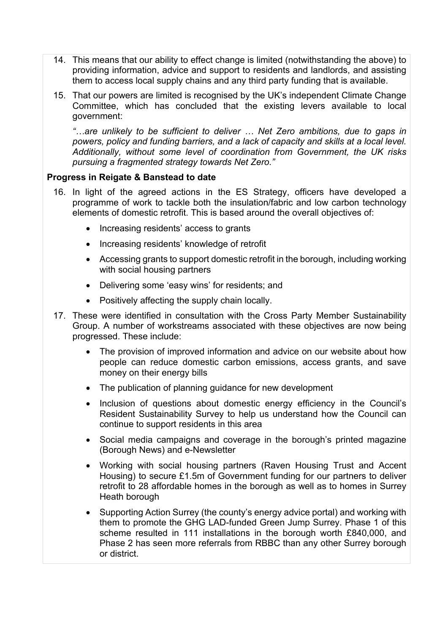- 14. This means that our ability to effect change is limited (notwithstanding the above) to providing information, advice and support to residents and landlords, and assisting them to access local supply chains and any third party funding that is available.
- 15. That our powers are limited is recognised by the UK's independent Climate Change Committee, which has concluded that the existing levers available to local government:

*"…are unlikely to be sufficient to deliver … Net Zero ambitions, due to gaps in powers, policy and funding barriers, and a lack of capacity and skills at a local level. Additionally, without some level of coordination from Government, the UK risks pursuing a fragmented strategy towards Net Zero."*

### **Progress in Reigate & Banstead to date**

- 16. In light of the agreed actions in the ES Strategy, officers have developed a programme of work to tackle both the insulation/fabric and low carbon technology elements of domestic retrofit. This is based around the overall objectives of:
	- Increasing residents' access to grants
	- Increasing residents' knowledge of retrofit
	- Accessing grants to support domestic retrofit in the borough, including working with social housing partners
	- Delivering some 'easy wins' for residents; and
	- Positively affecting the supply chain locally.
- 17. These were identified in consultation with the Cross Party Member Sustainability Group. A number of workstreams associated with these objectives are now being progressed. These include:
	- The provision of improved information and advice on our website about how people can reduce domestic carbon emissions, access grants, and save money on their energy bills
	- The publication of planning guidance for new development
	- Inclusion of questions about domestic energy efficiency in the Council's Resident Sustainability Survey to help us understand how the Council can continue to support residents in this area
	- Social media campaigns and coverage in the borough's printed magazine (Borough News) and e-Newsletter
	- Working with social housing partners (Raven Housing Trust and Accent Housing) to secure £1.5m of Government funding for our partners to deliver retrofit to 28 affordable homes in the borough as well as to homes in Surrey Heath borough
	- Supporting Action Surrey (the county's energy advice portal) and working with them to promote the GHG LAD-funded Green Jump Surrey. Phase 1 of this scheme resulted in 111 installations in the borough worth £840,000, and Phase 2 has seen more referrals from RBBC than any other Surrey borough or district.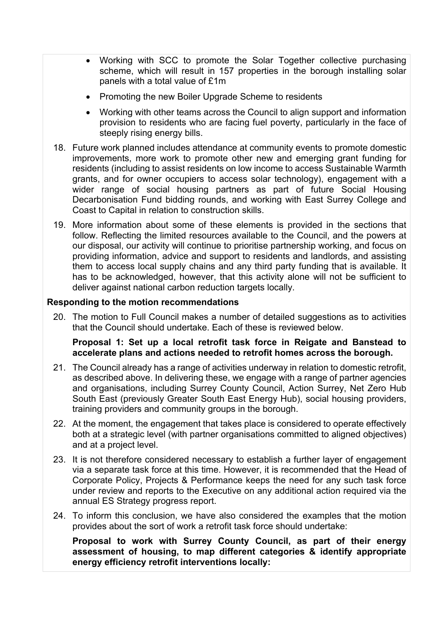- Working with SCC to promote the Solar Together collective purchasing scheme, which will result in 157 properties in the borough installing solar panels with a total value of £1m
- Promoting the new Boiler Upgrade Scheme to residents
- Working with other teams across the Council to align support and information provision to residents who are facing fuel poverty, particularly in the face of steeply rising energy bills.
- 18. Future work planned includes attendance at community events to promote domestic improvements, more work to promote other new and emerging grant funding for residents (including to assist residents on low income to access Sustainable Warmth grants, and for owner occupiers to access solar technology), engagement with a wider range of social housing partners as part of future Social Housing Decarbonisation Fund bidding rounds, and working with East Surrey College and Coast to Capital in relation to construction skills.
- 19. More information about some of these elements is provided in the sections that follow. Reflecting the limited resources available to the Council, and the powers at our disposal, our activity will continue to prioritise partnership working, and focus on providing information, advice and support to residents and landlords, and assisting them to access local supply chains and any third party funding that is available. It has to be acknowledged, however, that this activity alone will not be sufficient to deliver against national carbon reduction targets locally.

### **Responding to the motion recommendations**

20. The motion to Full Council makes a number of detailed suggestions as to activities that the Council should undertake. Each of these is reviewed below.

#### **Proposal 1: Set up a local retrofit task force in Reigate and Banstead to accelerate plans and actions needed to retrofit homes across the borough.**

- 21. The Council already has a range of activities underway in relation to domestic retrofit, as described above. In delivering these, we engage with a range of partner agencies and organisations, including Surrey County Council, Action Surrey, Net Zero Hub South East (previously Greater South East Energy Hub), social housing providers, training providers and community groups in the borough.
- 22. At the moment, the engagement that takes place is considered to operate effectively both at a strategic level (with partner organisations committed to aligned objectives) and at a project level.
- 23. It is not therefore considered necessary to establish a further layer of engagement via a separate task force at this time. However, it is recommended that the Head of Corporate Policy, Projects & Performance keeps the need for any such task force under review and reports to the Executive on any additional action required via the annual ES Strategy progress report.
- 24. To inform this conclusion, we have also considered the examples that the motion provides about the sort of work a retrofit task force should undertake:

**Proposal to work with Surrey County Council, as part of their energy assessment of housing, to map different categories & identify appropriate energy efficiency retrofit interventions locally:**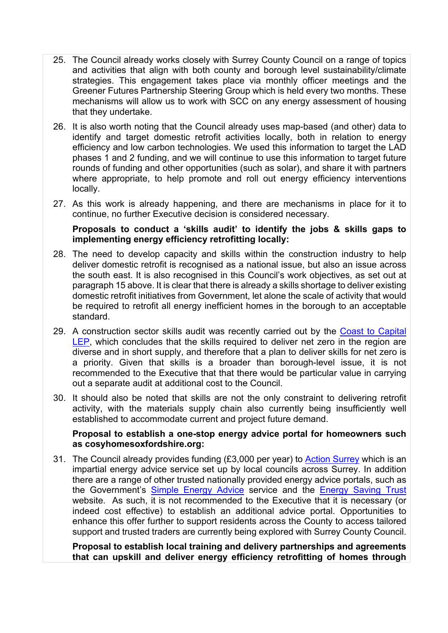- 25. The Council already works closely with Surrey County Council on a range of topics and activities that align with both county and borough level sustainability/climate strategies. This engagement takes place via monthly officer meetings and the Greener Futures Partnership Steering Group which is held every two months. These mechanisms will allow us to work with SCC on any energy assessment of housing that they undertake.
- 26. It is also worth noting that the Council already uses map-based (and other) data to identify and target domestic retrofit activities locally, both in relation to energy efficiency and low carbon technologies. We used this information to target the LAD phases 1 and 2 funding, and we will continue to use this information to target future rounds of funding and other opportunities (such as solar), and share it with partners where appropriate, to help promote and roll out energy efficiency interventions locally.
- 27. As this work is already happening, and there are mechanisms in place for it to continue, no further Executive decision is considered necessary.

### **Proposals to conduct a 'skills audit' to identify the jobs & skills gaps to implementing energy efficiency retrofitting locally:**

- 28. The need to develop capacity and skills within the construction industry to help deliver domestic retrofit is recognised as a national issue, but also an issue across the south east. It is also recognised in this Council's work objectives, as set out at paragraph 15 above. It is clear that there is already a skills shortage to deliver existing domestic retrofit initiatives from Government, let alone the scale of activity that would be required to retrofit all energy inefficient homes in the borough to an acceptable standard.
- 29. A construction sector skills audit was recently carried out by the Coast to [Capital](https://www.coast2capital.org.uk/skills-news) [LEP](https://www.coast2capital.org.uk/skills-news), which concludes that the skills required to deliver net zero in the region are diverse and in short supply, and therefore that a plan to deliver skills for net zero is a priority. Given that skills is a broader than borough-level issue, it is not recommended to the Executive that that there would be particular value in carrying out a separate audit at additional cost to the Council.
- 30. It should also be noted that skills are not the only constraint to delivering retrofit activity, with the materials supply chain also currently being insufficiently well established to accommodate current and project future demand.

### **Proposal to establish a one-stop energy advice portal for homeowners such as cosyhomesoxfordshire.org:**

31. The Council already provides funding (£3,000 per year) to Action [Surrey](https://www.actionsurrey.org/) which is an impartial energy advice service set up by local councils across Surrey. In addition there are a range of other trusted nationally provided energy advice portals, such as the Government's Simple [Energy](https://www.simpleenergyadvice.org.uk/) Advice service and the [Energy](https://energysavingtrust.org.uk/) Saving Trust website. As such, it is not recommended to the Executive that it is necessary (or indeed cost effective) to establish an additional advice portal. Opportunities to enhance this offer further to support residents across the County to access tailored support and trusted traders are currently being explored with Surrey County Council.

**Proposal to establish local training and delivery partnerships and agreements that can upskill and deliver energy efficiency retrofitting of homes through**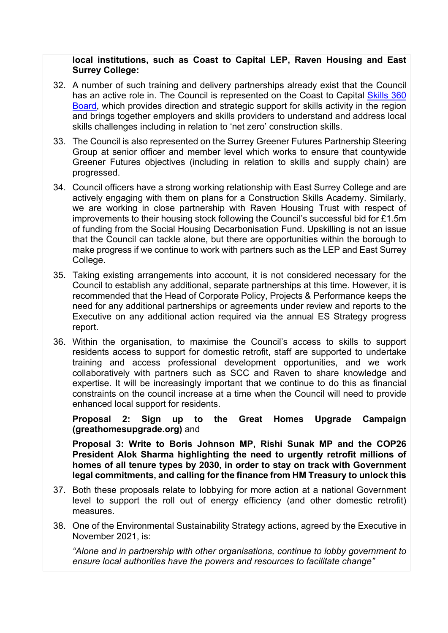### **locaI institutions, such as Coast to Capital LEP, Raven Housing and East Surrey College:**

- 32. A number of such training and delivery partnerships already exist that the Council has an active role in. The Council is represented on the Coast to Capital [Skills](https://www.coast2capital.org.uk/skills-360-board) 360 [Board](https://www.coast2capital.org.uk/skills-360-board), which provides direction and strategic support for skills activity in the region and brings together employers and skills providers to understand and address local skills challenges including in relation to 'net zero' construction skills.
- 33. The Council is also represented on the Surrey Greener Futures Partnership Steering Group at senior officer and member level which works to ensure that countywide Greener Futures objectives (including in relation to skills and supply chain) are progressed.
- 34. Council officers have a strong working relationship with East Surrey College and are actively engaging with them on plans for a Construction Skills Academy. Similarly, we are working in close partnership with Raven Housing Trust with respect of improvements to their housing stock following the Council's successful bid for £1.5m of funding from the Social Housing Decarbonisation Fund. Upskilling is not an issue that the Council can tackle alone, but there are opportunities within the borough to make progress if we continue to work with partners such as the LEP and East Surrey College.
- 35. Taking existing arrangements into account, it is not considered necessary for the Council to establish any additional, separate partnerships at this time. However, it is recommended that the Head of Corporate Policy, Projects & Performance keeps the need for any additional partnerships or agreements under review and reports to the Executive on any additional action required via the annual ES Strategy progress report.
- 36. Within the organisation, to maximise the Council's access to skills to support residents access to support for domestic retrofit, staff are supported to undertake training and access professional development opportunities, and we work collaboratively with partners such as SCC and Raven to share knowledge and expertise. It will be increasingly important that we continue to do this as financial constraints on the council increase at a time when the Council will need to provide enhanced local support for residents.

**Proposal 2: Sign up to the Great Homes Upgrade Campaign (greathomesupgrade.org)** and

**Proposal 3: Write to Boris Johnson MP, Rishi Sunak MP and the COP26 President Alok Sharma highlighting the need to urgently retrofit millions of homes of all tenure types by 2030, in order to stay on track with Government legal commitments, and calling for the finance from HM Treasury to unlock this**

- 37. Both these proposals relate to lobbying for more action at a national Government level to support the roll out of energy efficiency (and other domestic retrofit) measures.
- 38. One of the Environmental Sustainability Strategy actions, agreed by the Executive in November 2021, is:

*"Alone and in partnership with other organisations, continue to lobby government to ensure local authorities have the powers and resources to facilitate change"*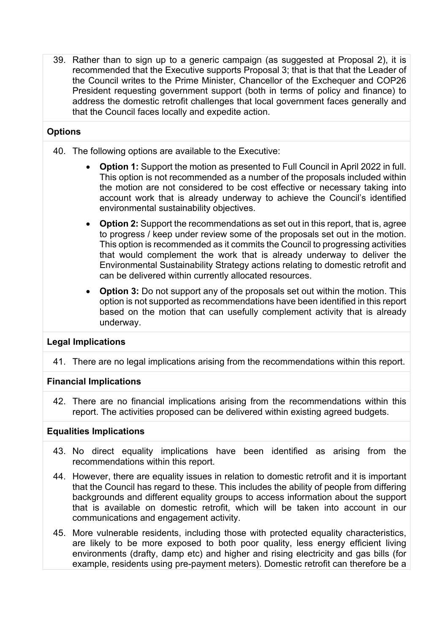39. Rather than to sign up to a generic campaign (as suggested at Proposal 2), it is recommended that the Executive supports Proposal 3; that is that that the Leader of the Council writes to the Prime Minister, Chancellor of the Exchequer and COP26 President requesting government support (both in terms of policy and finance) to address the domestic retrofit challenges that local government faces generally and that the Council faces locally and expedite action.

# **Options**

- 40. The following options are available to the Executive:
	- **Option 1:** Support the motion as presented to Full Council in April 2022 in full. This option is not recommended as a number of the proposals included within the motion are not considered to be cost effective or necessary taking into account work that is already underway to achieve the Council's identified environmental sustainability objectives.
	- **Option 2:** Support the recommendations as set out in this report, that is, agree to progress / keep under review some of the proposals set out in the motion. This option is recommended as it commits the Council to progressing activities that would complement the work that is already underway to deliver the Environmental Sustainability Strategy actions relating to domestic retrofit and can be delivered within currently allocated resources.
	- **Option 3:** Do not support any of the proposals set out within the motion. This option is not supported as recommendations have been identified in this report based on the motion that can usefully complement activity that is already underway.

## **Legal Implications**

41. There are no legal implications arising from the recommendations within this report.

## **Financial Implications**

42. There are no financial implications arising from the recommendations within this report. The activities proposed can be delivered within existing agreed budgets.

### **Equalities Implications**

- 43. No direct equality implications have been identified as arising from the recommendations within this report.
- 44. However, there are equality issues in relation to domestic retrofit and it is important that the Council has regard to these. This includes the ability of people from differing backgrounds and different equality groups to access information about the support that is available on domestic retrofit, which will be taken into account in our communications and engagement activity.
- 45. More vulnerable residents, including those with protected equality characteristics, are likely to be more exposed to both poor quality, less energy efficient living environments (drafty, damp etc) and higher and rising electricity and gas bills (for example, residents using pre-payment meters). Domestic retrofit can therefore be a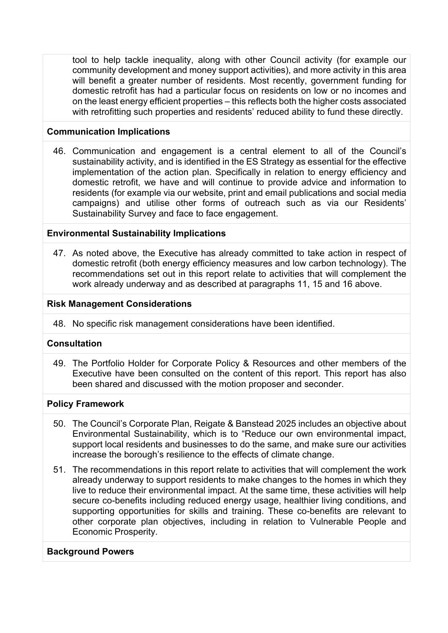tool to help tackle inequality, along with other Council activity (for example our community development and money support activities), and more activity in this area will benefit a greater number of residents. Most recently, government funding for domestic retrofit has had a particular focus on residents on low or no incomes and on the least energy efficient properties – this reflects both the higher costs associated with retrofitting such properties and residents' reduced ability to fund these directly.

### **Communication Implications**

46. Communication and engagement is a central element to all of the Council's sustainability activity, and is identified in the ES Strategy as essential for the effective implementation of the action plan. Specifically in relation to energy efficiency and domestic retrofit, we have and will continue to provide advice and information to residents (for example via our website, print and email publications and social media campaigns) and utilise other forms of outreach such as via our Residents' Sustainability Survey and face to face engagement.

### **Environmental Sustainability Implications**

47. As noted above, the Executive has already committed to take action in respect of domestic retrofit (both energy efficiency measures and low carbon technology). The recommendations set out in this report relate to activities that will complement the work already underway and as described at paragraphs 11, 15 and 16 above.

### **Risk Management Considerations**

48. No specific risk management considerations have been identified.

### **Consultation**

49. The Portfolio Holder for Corporate Policy & Resources and other members of the Executive have been consulted on the content of this report. This report has also been shared and discussed with the motion proposer and seconder.

#### **Policy Framework**

- 50. The Council's Corporate Plan, Reigate & Banstead 2025 includes an objective about Environmental Sustainability, which is to "Reduce our own environmental impact, support local residents and businesses to do the same, and make sure our activities increase the borough's resilience to the effects of climate change.
- 51. The recommendations in this report relate to activities that will complement the work already underway to support residents to make changes to the homes in which they live to reduce their environmental impact. At the same time, these activities will help secure co-benefits including reduced energy usage, healthier living conditions, and supporting opportunities for skills and training. These co-benefits are relevant to other corporate plan objectives, including in relation to Vulnerable People and Economic Prosperity.

#### **Background Powers**